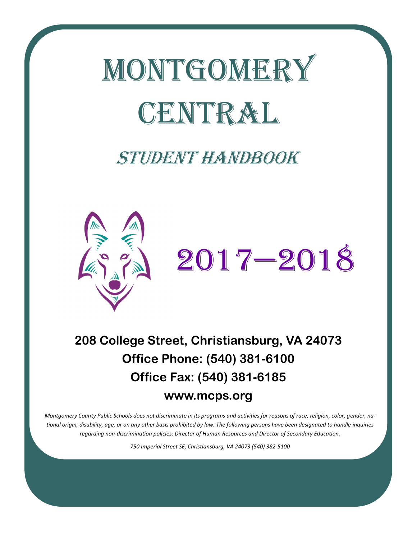

# Student handbook



# **208 College Street, Christiansburg, VA 24073 Office Phone: (540) 381-6100 Office Fax: (540) 381-6185**

## **www.mcps.org**

*Montgomery County Public Schools does not discriminate in its programs and activities for reasons of race, religion, color, gender, national origin, disability, age, or on any other basis prohibited by law. The following persons have been designated to handle inquiries regarding non-discrimination policies: Director of Human Resources and Director of Secondary Education.*

*750 Imperial Street SE, Christiansburg, VA 24073 (540) 382-5100*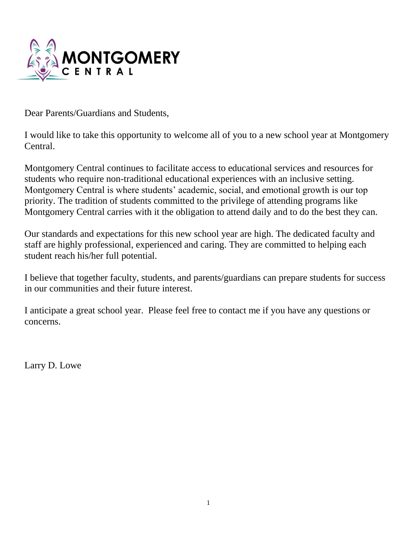

Dear Parents/Guardians and Students,

I would like to take this opportunity to welcome all of you to a new school year at Montgomery Central.

Montgomery Central continues to facilitate access to educational services and resources for students who require non-traditional educational experiences with an inclusive setting. Montgomery Central is where students' academic, social, and emotional growth is our top priority. The tradition of students committed to the privilege of attending programs like Montgomery Central carries with it the obligation to attend daily and to do the best they can.

Our standards and expectations for this new school year are high. The dedicated faculty and staff are highly professional, experienced and caring. They are committed to helping each student reach his/her full potential.

I believe that together faculty, students, and parents/guardians can prepare students for success in our communities and their future interest.

I anticipate a great school year. Please feel free to contact me if you have any questions or concerns.

Larry D. Lowe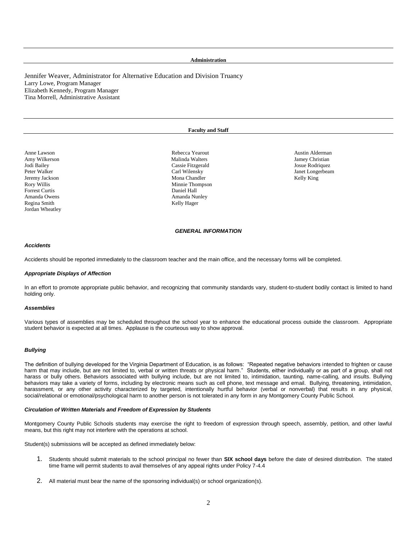#### **Administration**

Jennifer Weaver, Administrator for Alternative Education and Division Truancy Larry Lowe, Program Manager Elizabeth Kennedy, Program Manager Tina Morrell, Administrative Assistant

#### **Faculty and Staff**

Amy Wilkerson **Malinda Walters Malinda Walters Amy Wilkers** Jamey Christian Jodi Bailey Cassie Fitzgerald Josue Rodriquez Rory Willis Minnie Thompson Forrest Curtis Daniel Hall Amanda Owens Amanda Nunley Regina Smith Kelly Hager Jordan Wheatley

Mona Chandler

Anne Lawson **Austin Alderman** Rebecca Yearout **Austin Alderman** Austin Alderman Peter Walker National Carl Wilensky Carl Wilensky Number of The Malker Janet Longerbeam Carl Wilensky Janet Longerbeam (1990)<br>Mona Chandler Number 2002 2012 1990 Mona Chandler Number 2012 1991 2012 1991 2012 1991 2012 1991

#### *GENERAL INFORMATION*

#### *Accidents*

Accidents should be reported immediately to the classroom teacher and the main office, and the necessary forms will be completed.

#### *Appropriate Displays of Affection*

In an effort to promote appropriate public behavior, and recognizing that community standards vary, student-to-student bodily contact is limited to hand holding only.

#### *Assemblies*

Various types of assemblies may be scheduled throughout the school year to enhance the educational process outside the classroom. Appropriate student behavior is expected at all times. Applause is the courteous way to show approval.

#### *Bullying*

The definition of bullying developed for the Virginia Department of Education, is as follows: "Repeated negative behaviors intended to frighten or cause harm that may include, but are not limited to, verbal or written threats or physical harm." Students, either individually or as part of a group, shall not harass or bully others. Behaviors associated with bullying include, but are not limited to, intimidation, taunting, name-calling, and insults. Bullying behaviors may take a variety of forms, including by electronic means such as cell phone, text message and email. Bullying, threatening, intimidation, harassment, or any other activity characterized by targeted, intentionally hurtful behavior (verbal or nonverbal) that results in any physical, social/relational or emotional/psychological harm to another person is not tolerated in any form in any Montgomery County Public School.

#### *Circulation of Written Materials and Freedom of Expression by Students*

Montgomery County Public Schools students may exercise the right to freedom of expression through speech, assembly, petition, and other lawful means, but this right may not interfere with the operations at school.

Student(s) submissions will be accepted as defined immediately below:

- 1. Students should submit materials to the school principal no fewer than **SIX school days** before the date of desired distribution. The stated time frame will permit students to avail themselves of any appeal rights under Policy 7-4.4
- 2. All material must bear the name of the sponsoring individual(s) or school organization(s).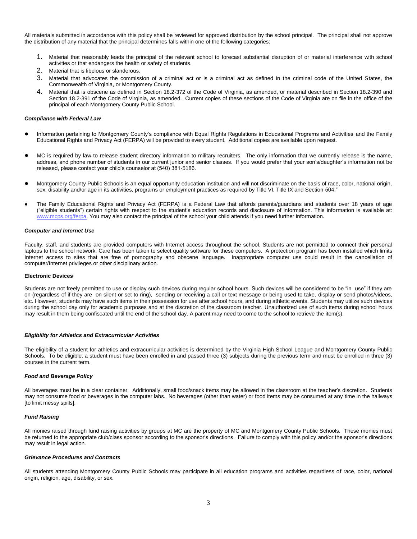All materials submitted in accordance with this policy shall be reviewed for approved distribution by the school principal. The principal shall not approve the distribution of any material that the principal determines falls within one of the following categories:

- 1. Material that reasonably leads the principal of the relevant school to forecast substantial disruption of or material interference with school activities or that endangers the health or safety of students.
- 2. Material that is libelous or slanderous.
- 3. Material that advocates the commission of a criminal act or is a criminal act as defined in the criminal code of the United States, the Commonwealth of Virginia, or Montgomery County.
- 4. Material that is obscene as defined in Section 18.2-372 of the Code of Virginia, as amended, or material described in Section 18.2-390 and Section 18.2-391 of the Code of Virginia, as amended. Current copies of these sections of the Code of Virginia are on file in the office of the principal of each Montgomery County Public School.

#### *Compliance with Federal Law*

- Information pertaining to Montgomery County's compliance with Equal Rights Regulations in Educational Programs and Activities and the Family Educational Rights and Privacy Act (FERPA) will be provided to every student. Additional copies are available upon request.
- MC is required by law to release student directory information to military recruiters. The only information that we currently release is the name, address, and phone number of students in our current junior and senior classes. If you would prefer that your son's/daughter's information not be released, please contact your child's counselor at (540) 381-5186.
- Montgomery County Public Schools is an equal opportunity education institution and will not discriminate on the basis of race, color, national origin, sex, disability and/or age in its activities, programs or employment practices as required by Title VI, Title IX and Section 504."
- The Family Educational Rights and Privacy Act (FERPA) is a Federal Law that affords parents/guardians and students over 18 years of age ("eligible students") certain rights with respect to the student's education records and disclosure of information. This information is available at: [www.mcps.org/ferpa.](http://www.mcps.org/ferpa) You may also contact the principal of the school your child attends if you need further information.

#### *Computer and Internet Use*

Faculty, staff, and students are provided computers with Internet access throughout the school. Students are not permitted to connect their personal laptops to the school network. Care has been taken to select quality software for these computers. A protection program has been installed which limits Internet access to sites that are free of pornography and obscene language. Inappropriate computer use could result in the cancellation of computer/Internet privileges or other disciplinary action.

#### **Electronic Devices**

Students are not freely permitted to use or display such devices during regular school hours. Such devices will be considered to be "in use" if they are on (regardless of if they are on silent or set to ring), sending or receiving a call or text message or being used to take, display or send photos/videos, etc. However, students may have such items in their possession for use after school hours, and during athletic events. Students may utilize such devices during the school day only for academic purposes and at the discretion of the classroom teacher. Unauthorized use of such items during school hours may result in them being confiscated until the end of the school day. A parent may need to come to the school to retrieve the item(s).

#### *Eligibility for Athletics and Extracurricular Activities*

The eligibility of a student for athletics and extracurricular activities is determined by the Virginia High School League and Montgomery County Public Schools. To be eligible, a student must have been enrolled in and passed three (3) subjects during the previous term and must be enrolled in three (3) courses in the current term.

#### *Food and Beverage Policy*

All beverages must be in a clear container. Additionally, small food/snack items may be allowed in the classroom at the teacher's discretion. Students may not consume food or beverages in the computer labs. No beverages (other than water) or food items may be consumed at any time in the hallways [to limit messy spills].

#### *Fund Raising*

All monies raised through fund raising activities by groups at MC are the property of MC and Montgomery County Public Schools. These monies must be returned to the appropriate club/class sponsor according to the sponsor's directions. Failure to comply with this policy and/or the sponsor's directions may result in legal action.

#### *Grievance Procedures and Contracts*

All students attending Montgomery County Public Schools may participate in all education programs and activities regardless of race, color, national origin, religion, age, disability, or sex.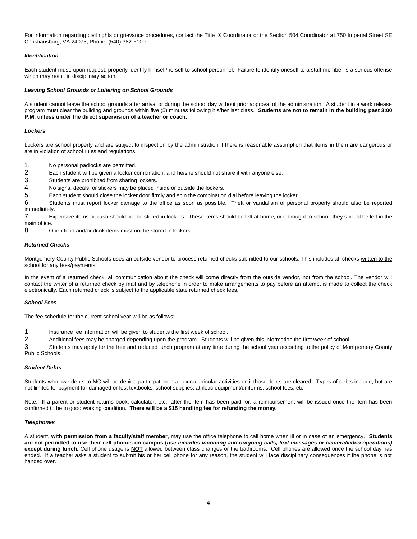For information regarding civil rights or grievance procedures, contact the Title IX Coordinator or the Section 504 Coordinator at 750 Imperial Street SE Christiansburg, VA 24073, Phone: (540) 382-5100

#### *Identification*

Each student must, upon request, properly identify himself/herself to school personnel. Failure to identify oneself to a staff member is a serious offense which may result in disciplinary action.

#### *Leaving School Grounds or Loitering on School Grounds*

A student cannot leave the school grounds after arrival or during the school day without prior approval of the administration. A student in a work release program must clear the building and grounds within five (5) minutes following his/her last class. **Students are not to remain in the building past 3:00 P.M. unless under the direct supervision of a teacher or coach.**

#### *Lockers*

Lockers are school property and are subject to inspection by the administration if there is reasonable assumption that items in them are dangerous or are in violation of school rules and regulations.

- 1. No personal padlocks are permitted.
- 2. Each student will be given a locker combination, and he/she should not share it with anyone else.
- 3. Students are prohibited from sharing lockers.
- 4. No signs, decals, or stickers may be placed inside or outside the lockers.
- 5. Each student should close the locker door firmly and spin the combination dial before leaving the locker.

6. Students must report locker damage to the office as soon as possible. Theft or vandalism of personal property should also be reported immediately.

7. Expensive items or cash should not be stored in lockers. These items should be left at home, or if brought to school, they should be left in the main office.

8. Open food and/or drink items must not be stored in lockers.

#### *Returned Checks*

Montgomery County Public Schools uses an outside vendor to process returned checks submitted to our schools. This includes all checks written to the school for any fees/payments.

In the event of a returned check, all communication about the check will come directly from the outside vendor, not from the school. The vendor will contact the writer of a returned check by mail and by telephone in order to make arrangements to pay before an attempt is made to collect the check electronically. Each returned check is subject to the applicable state returned check fees.

#### *School Fees*

The fee schedule for the current school year will be as follows:

- 1. Insurance fee information will be given to students the first week of school.
- 2. Additional fees may be charged depending upon the program. Students will be given this information the first week of school.

3. Students may apply for the free and reduced lunch program at any time during the school year according to the policy of Montgomery County Public Schools.

#### *Student Debts*

Students who owe debts to MC will be denied participation in all extracurricular activities until those debts are cleared. Types of debts include, but are not limited to, payment for damaged or lost textbooks, school supplies, athletic equipment/uniforms, school fees, etc.

Note: If a parent or student returns book, calculator, etc., after the item has been paid for, a reimbursement will be issued once the item has been confirmed to be in good working condition. **There will be a \$15 handling fee for refunding the money.**

#### *Telephones*

A student, **with permission from a faculty/staff member**, may use the office telephone to call home when ill or in case of an emergency. **Students are not permitted to use their cell phones on campus (***use includes incoming and outgoing calls, text messages or camera/video operations)* **except during lunch.** Cell phone usage is **NOT** allowed between class changes or the bathrooms. Cell phones are allowed once the school day has ended. If a teacher asks a student to submit his or her cell phone for any reason, the student will face disciplinary consequences if the phone is not handed over.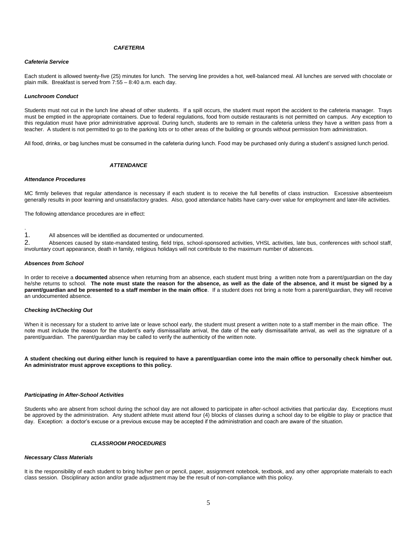#### *CAFETERIA*

#### *Cafeteria Service*

Each student is allowed twenty-five (25) minutes for lunch. The serving line provides a hot, well-balanced meal. All lunches are served with chocolate or plain milk. Breakfast is served from 7:55 – 8:40 a.m. each day.

#### *Lunchroom Conduct*

Students must not cut in the lunch line ahead of other students. If a spill occurs, the student must report the accident to the cafeteria manager. Trays must be emptied in the appropriate containers. Due to federal regulations, food from outside restaurants is not permitted on campus. Any exception to this regulation must have prior administrative approval. During lunch, students are to remain in the cafeteria unless they have a written pass from a teacher. A student is not permitted to go to the parking lots or to other areas of the building or grounds without permission from administration.

All food, drinks, or bag lunches must be consumed in the cafeteria during lunch. Food may be purchased only during a student's assigned lunch period.

#### *ATTENDANCE*

#### *Attendance Procedures*

MC firmly believes that regular attendance is necessary if each student is to receive the full benefits of class instruction. Excessive absenteeism generally results in poor learning and unsatisfactory grades. Also, good attendance habits have carry-over value for employment and later-life activities.

The following attendance procedures are in effect:

1. All absences will be identified as documented or undocumented.

2. Absences caused by state-mandated testing, field trips, school-sponsored activities, VHSL activities, late bus, conferences with school staff, involuntary court appearance, death in family, religious holidays will not contribute to the maximum number of absences.

#### *Absences from School*

.

In order to receive a **documented** absence when returning from an absence, each student must bring a written note from a parent/guardian on the day he/she returns to school. **The note must state the reason for the absence, as well as the date of the absence, and it must be signed by a parent/guardian and be presented to a staff member in the main office**. If a student does not bring a note from a parent/guardian, they will receive an undocumented absence.

#### *Checking In/Checking Out*

When it is necessary for a student to arrive late or leave school early, the student must present a written note to a staff member in the main office. The note must include the reason for the student's early dismissal/late arrival, the date of the early dismissal/late arrival, as well as the signature of a parent/guardian. The parent/guardian may be called to verify the authenticity of the written note.

**A student checking out during either lunch is required to have a parent/guardian come into the main office to personally check him/her out. An administrator must approve exceptions to this policy.**

#### *Participating in After-School Activities*

Students who are absent from school during the school day are not allowed to participate in after-school activities that particular day. Exceptions must be approved by the administration. Any student athlete must attend four (4) blocks of classes during a school day to be eligible to play or practice that day. Exception: a doctor's excuse or a previous excuse may be accepted if the administration and coach are aware of the situation.

#### *CLASSROOM PROCEDURES*

#### *Necessary Class Materials*

It is the responsibility of each student to bring his/her pen or pencil, paper, assignment notebook, textbook, and any other appropriate materials to each class session. Disciplinary action and/or grade adjustment may be the result of non-compliance with this policy.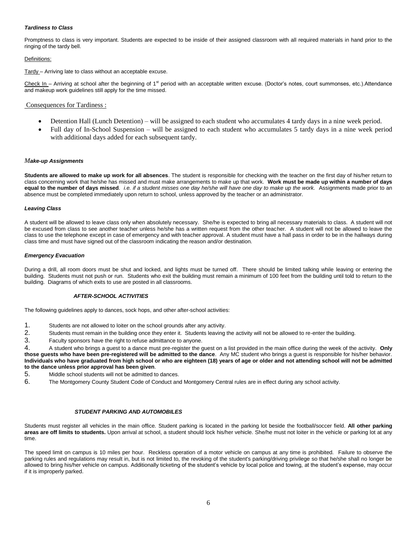#### *Tardiness to Class*

Promptness to class is very important. Students are expected to be inside of their assigned classroom with all required materials in hand prior to the ringing of the tardy bell.

#### Definitions:

Tardy - Arriving late to class without an acceptable excuse.

Check In – Arriving at school after the beginning of  $1<sup>st</sup>$  period with an acceptable written excuse. (Doctor's notes, court summonses, etc.).Attendance and makeup work guidelines still apply for the time missed.

#### Consequences for Tardiness :

- Detention Hall (Lunch Detention) will be assigned to each student who accumulates 4 tardy days in a nine week period.
- Full day of In-School Suspension will be assigned to each student who accumulates 5 tardy days in a nine week period with additional days added for each subsequent tardy.

#### *Make-up Assignments*

**Students are allowed to make up work for all absences**. The student is responsible for checking with the teacher on the first day of his/her return to class concerning work that he/she has missed and must make arrangements to make up that work. **Work must be made up within a number of days equal to the number of days missed**. *i.e. if a student misses one day he/she will have one day to make up the work.* Assignments made prior to an absence must be completed immediately upon return to school, unless approved by the teacher or an administrator.

#### *Leaving Class*

A student will be allowed to leave class only when absolutely necessary. She/he is expected to bring all necessary materials to class. A student will not be excused from class to see another teacher unless he/she has a written request from the other teacher. A student will not be allowed to leave the class to use the telephone except in case of emergency and with teacher approval. A student must have a hall pass in order to be in the hallways during class time and must have signed out of the classroom indicating the reason and/or destination.

#### *Emergency Evacuation*

During a drill, all room doors must be shut and locked, and lights must be turned off. There should be limited talking while leaving or entering the building. Students must not push or run. Students who exit the building must remain a minimum of 100 feet from the building until told to return to the building. Diagrams of which exits to use are posted in all classrooms.

#### *AFTER-SCHOOL ACTIVITIES*

The following guidelines apply to dances, sock hops, and other after-school activities:

- 1. Students are not allowed to loiter on the school grounds after any activity.
- 2. Students must remain in the building once they enter it. Students leaving the activity will not be allowed to re-enter the building.<br>3. Eaculty sponsors have the right to refuse admittance to anyone
- Faculty sponsors have the right to refuse admittance to anyone.

4. A student who brings a guest to a dance must pre-register the guest on a list provided in the main office during the week of the activity. **Only those guests who have been pre-registered will be admitted to the dance**. Any MC student who brings a guest is responsible for his/her behavior. **Individuals who have graduated from high school or who are eighteen (18) years of age or older and not attending school will not be admitted to the dance unless prior approval has been given**.

- 5. Middle school students will not be admitted to dances.
- 6. The Montgomery County Student Code of Conduct and Montgomery Central rules are in effect during any school activity.

#### *STUDENT PARKING AND AUTOMOBILES*

Students must register all vehicles in the main office. Student parking is located in the parking lot beside the football/soccer field. **All other parking areas are off limits to students.** Upon arrival at school, a student should lock his/her vehicle. She/he must not loiter in the vehicle or parking lot at any time.

The speed limit on campus is 10 miles per hour. Reckless operation of a motor vehicle on campus at any time is prohibited. Failure to observe the parking rules and regulations may result in, but is not limited to, the revoking of the student's parking/driving privilege so that he/she shall no longer be allowed to bring his/her vehicle on campus. Additionally ticketing of the student's vehicle by local police and towing, at the student's expense, may occur if it is improperly parked.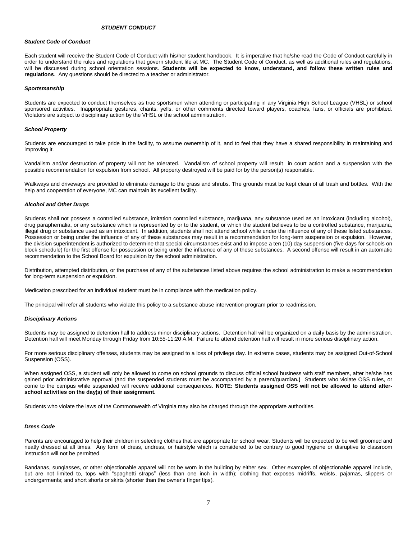#### *STUDENT CONDUCT*

#### *Student Code of Conduct*

Each student will receive the Student Code of Conduct with his/her student handbook. It is imperative that he/she read the Code of Conduct carefully in order to understand the rules and regulations that govern student life at MC. The Student Code of Conduct, as well as additional rules and regulations, will be discussed during school orientation sessions. **Students will be expected to know, understand, and follow these written rules and regulations**. Any questions should be directed to a teacher or administrator.

#### *Sportsmanship*

Students are expected to conduct themselves as true sportsmen when attending or participating in any Virginia High School League (VHSL) or school sponsored activities. Inappropriate gestures, chants, yells, or other comments directed toward players, coaches, fans, or officials are prohibited. Violators are subject to disciplinary action by the VHSL or the school administration.

#### *School Property*

Students are encouraged to take pride in the facility, to assume ownership of it, and to feel that they have a shared responsibility in maintaining and improving it.

Vandalism and/or destruction of property will not be tolerated. Vandalism of school property will result in court action and a suspension with the possible recommendation for expulsion from school. All property destroyed will be paid for by the person(s) responsible.

Walkways and driveways are provided to eliminate damage to the grass and shrubs. The grounds must be kept clean of all trash and bottles. With the help and cooperation of everyone, MC can maintain its excellent facility.

#### *Alcohol and Other Drugs*

Students shall not possess a controlled substance, imitation controlled substance, marijuana, any substance used as an intoxicant (including alcohol), drug paraphernalia, or any substance which is represented by or to the student, or which the student believes to be a controlled substance, marijuana, illegal drug or substance used as an intoxicant. In addition, students shall not attend school while under the influence of any of these listed substances. Possession or being under the influence of any of these substances may result in a recommendation for long-term suspension or expulsion. However, the division superintendent is authorized to determine that special circumstances exist and to impose a ten (10) day suspension (five days for schools on block schedule) for the first offense for possession or being under the influence of any of these substances. A second offense will result in an automatic recommendation to the School Board for expulsion by the school administration.

Distribution, attempted distribution, or the purchase of any of the substances listed above requires the school administration to make a recommendation for long-term suspension or expulsion.

Medication prescribed for an individual student must be in compliance with the medication policy.

The principal will refer all students who violate this policy to a substance abuse intervention program prior to readmission.

#### *Disciplinary Actions*

Students may be assigned to detention hall to address minor disciplinary actions. Detention hall will be organized on a daily basis by the administration. Detention hall will meet Monday through Friday from 10:55-11:20 A.M. Failure to attend detention hall will result in more serious disciplinary action.

For more serious disciplinary offenses, students may be assigned to a loss of privilege day. In extreme cases, students may be assigned Out-of-School Suspension (OSS).

When assigned OSS, a student will only be allowed to come on school grounds to discuss official school business with staff members, after he/she has gained prior administrative approval (and the suspended students must be accompanied by a parent/guardian**.)** Students who violate OSS rules, or come to the campus while suspended will receive additional consequences. **NOTE: Students assigned OSS will not be allowed to attend afterschool activities on the day(s) of their assignment.**

Students who violate the laws of the Commonwealth of Virginia may also be charged through the appropriate authorities.

#### *Dress Code*

Parents are encouraged to help their children in selecting clothes that are appropriate for school wear. Students will be expected to be well groomed and neatly dressed at all times. Any form of dress, undress, or hairstyle which is considered to be contrary to good hygiene or disruptive to classroom instruction will not be permitted.

Bandanas, sunglasses, or other objectionable apparel will not be worn in the building by either sex. Other examples of objectionable apparel include, but are not limited to, tops with "spaghetti straps" (less than one inch in width); clothing that exposes midriffs, waists, pajamas, slippers or undergarments; and short shorts or skirts (shorter than the owner's finger tips).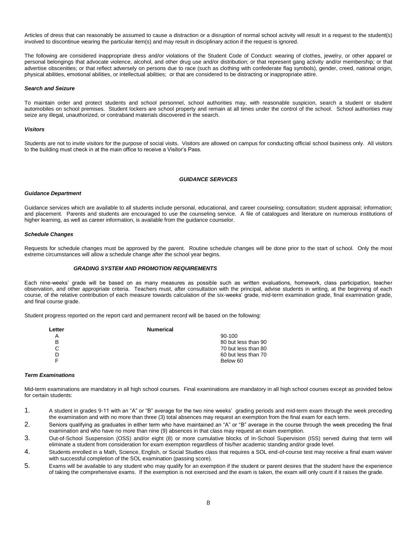Articles of dress that can reasonably be assumed to cause a distraction or a disruption of normal school activity will result in a request to the student(s) involved to discontinue wearing the particular item(s) and may result in disciplinary action if the request is ignored.

The following are considered inappropriate dress and/or violations of the Student Code of Conduct: wearing of clothes, jewelry, or other apparel or personal belongings that advocate violence, alcohol, and other drug use and/or distribution; or that represent gang activity and/or membership; or that advertise obscenities; or that reflect adversely on persons due to race (such as clothing with confederate flag symbols), gender, creed, national origin, physical abilities, emotional abilities, or intellectual abilities; or that are considered to be distracting or inappropriate attire.

#### *Search and Seizure*

To maintain order and protect students and school personnel, school authorities may, with reasonable suspicion, search a student or student automobiles on school premises. Student lockers are school property and remain at all times under the control of the school. School authorities may seize any illegal, unauthorized, or contraband materials discovered in the search.

#### *Visitors*

Students are not to invite visitors for the purpose of social visits. Visitors are allowed on campus for conducting official school business only. All visitors to the building must check in at the main office to receive a Visitor's Pass.

#### *GUIDANCE SERVICES*

#### *Guidance Department*

Guidance services which are available to all students include personal, educational, and career counseling; consultation; student appraisal; information; and placement. Parents and students are encouraged to use the counseling service. A file of catalogues and literature on numerous institutions of higher learning, as well as career information, is available from the guidance counselor.

#### *Schedule Changes*

Requests for schedule changes must be approved by the parent. Routine schedule changes will be done prior to the start of school. Only the most extreme circumstances will allow a schedule change after the school year begins.

#### *GRADING SYSTEM AND PROMOTION REQUIREMENTS*

Each nine-weeks' grade will be based on as many measures as possible such as written evaluations, homework, class participation, teacher observation, and other appropriate criteria. Teachers must, after consultation with the principal, advise students in writing, at the beginning of each course, of the relative contribution of each measure towards calculation of the six-weeks' grade, mid-term examination grade, final examination grade, and final course grade.

Student progress reported on the report card and permanent record will be based on the following:

| Letter | <b>Numerical</b> |                     |
|--------|------------------|---------------------|
|        |                  | $90-100$            |
| B      |                  | 80 but less than 90 |
| С      |                  | 70 but less than 80 |
| D      |                  | 60 but less than 70 |
|        |                  | Below 60            |

#### *Term Examinations*

Mid-term examinations are mandatory in all high school courses. Final examinations are mandatory in all high school courses except as provided below for certain students:

- 1. A student in grades 9-11 with an "A" or "B" average for the two nine weeks' grading periods and mid-term exam through the week preceding the examination and with no more than three (3) total absences may request an exemption from the final exam for each term.
- 2. Seniors qualifying as graduates in either term who have maintained an "A" or "B" average in the course through the week preceding the final examination and who have no more than nine (9) absences in that class may request an exam exemption.
- 3. Out-of-School Suspension (OSS) and/or eight (8) or more cumulative blocks of In-School Supervision (ISS) served during that term will eliminate a student from consideration for exam exemption regardless of his/her academic standing and/or grade level.
- 4. Students enrolled in a Math, Science, English, or Social Studies class that requires a SOL end-of-course test may receive a final exam waiver with successful completion of the SOL examination (passing score).
- 5. Exams will be available to any student who may qualify for an exemption if the student or parent desires that the student have the experience of taking the comprehensive exams. If the exemption is not exercised and the exam is taken, the exam will only count if it raises the grade.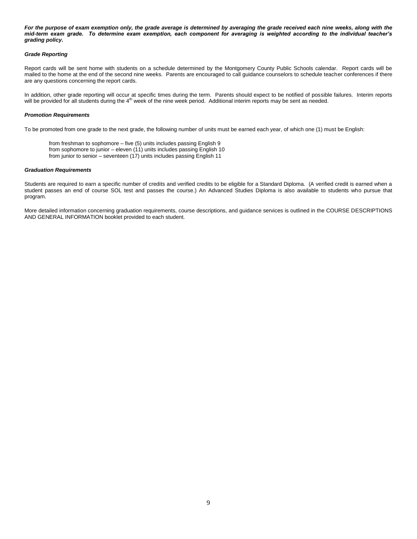For the purpose of exam exemption only, the grade average is determined by averaging the grade received each nine weeks, along with the *mid-term exam grade. To determine exam exemption, each component for averaging is weighted according to the individual teacher's grading policy.*

#### *Grade Reporting*

Report cards will be sent home with students on a schedule determined by the Montgomery County Public Schools calendar. Report cards will be mailed to the home at the end of the second nine weeks. Parents are encouraged to call guidance counselors to schedule teacher conferences if there are any questions concerning the report cards.

In addition, other grade reporting will occur at specific times during the term. Parents should expect to be notified of possible failures. Interim reports will be provided for all students during the 4<sup>th</sup> week of the nine week period. Additional interim reports may be sent as needed.

#### *Promotion Requirements*

To be promoted from one grade to the next grade, the following number of units must be earned each year, of which one (1) must be English:

from freshman to sophomore – five (5) units includes passing English 9 from sophomore to junior – eleven (11) units includes passing English 10 from junior to senior – seventeen (17) units includes passing English 11

#### *Graduation Requirements*

Students are required to earn a specific number of credits and verified credits to be eligible for a Standard Diploma. (A verified credit is earned when a student passes an end of course SOL test and passes the course.) An Advanced Studies Diploma is also available to students who pursue that program.

More detailed information concerning graduation requirements, course descriptions, and guidance services is outlined in the COURSE DESCRIPTIONS AND GENERAL INFORMATION booklet provided to each student.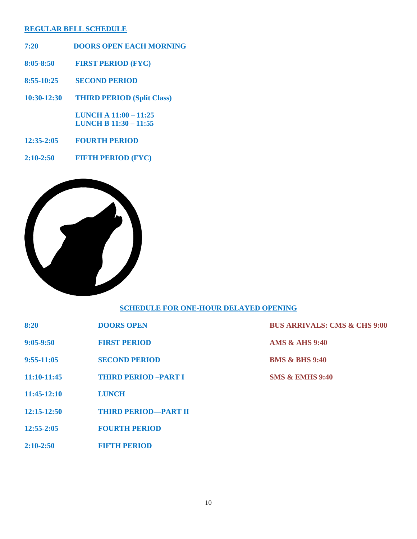### **REGULAR BELL SCHEDULE**

- **7:20 DOORS OPEN EACH MORNING**
- **8:05-8:50 FIRST PERIOD (FYC)**
- **8:55-10:25 SECOND PERIOD**
- **10:30-12:30 THIRD PERIOD (Split Class)**

 **LUNCH A 11:00 – 11:25 LUNCH B 11:30 – 11:55** 

- **12:35-2:05 FOURTH PERIOD**
- **2:10-2:50 FIFTH PERIOD (FYC)**



### **SCHEDULE FOR ONE-HOUR DELAYED OPENING**

| 8:20 | <b>DOORS OPEN</b> |
|------|-------------------|
|      |                   |

- **9:05-9:50 FIRST PERIOD AMS & AHS 9:40**
- **9:55-11:05 SECOND PERIOD BMS & BHS 9:40**
- **11:10-11:45 THIRD PERIOD –PART I SMS & EMHS 9:40**
- **11:45-12:10 LUNCH**
- **12:15-12:50 THIRD PERIOD—PART II**
- **12:55-2:05 FOURTH PERIOD**
- **2:10-2:50 FIFTH PERIOD**

**BUS ARRIVALS: CMS & CHS 9:00**